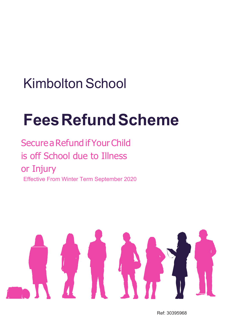# Kimbolton School

# **FeesRefundScheme**

Secure a Refund if Your Child is off School due to Illness or Injury Effective From Winter Term September 2020



Ref: 30395968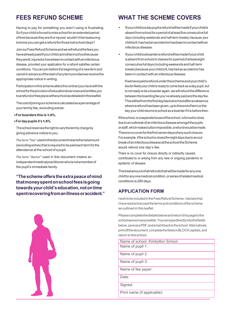## **FEES REFUND SCHEME**

Having to pay for something you aren't using is frustrating. So if your child is forced to miss school for an extended period oftimebecausetheyareillorinjured,wouldn'titbereassuring toknowyoucangetarefundforthoselostschooldays?

JoinourFeesRefundSchemeandwewillrefundthefeesyou havealreadypaidifyourchildcannotbeinschoolbecause theyareill,injuredorhavebeenincontactwithaninfectious disease, provided your application for a refund satisfies certain conditions.Youcan joinbeforethe beginningofa newtermand cancelinadvanceofthestartofanytermprovidedwereceivethe appropriate notice in writing.

Participationinthisschemealtersthecontractyouhavewiththe schoolfortheprovisionofeducationalservicesandentitlesyou toarefundorfreeplaceattheschoolasdetailedinthisleaflet.

Thecostofjoiningourschemeiscalculatedasapercentageof your termly fee, excluding extras:

#### **•For boarders this is** 1.5**%.**

#### **•Fordaypupils it's** 1.5**%.**

Theschoolreservestherighttovarythetermlychargeby giving advance notice to you.

The term"fee" usedinthisdocumentmeansthenetamount (excludingextras)thatis requiredtobepaideachtermforthe attendance at the school of a pupil.

The term "doctor" used in this document means an independentmedicalpractitionerwhoisnotamemberof the pupil's immediate family.

**"Theschemeofferstheextrapeaceofmind thatmoneyspentonschoolfeesisgoing towards your child'seducation,notontime spentrecoveringfromanillnessoraccident."**



## **WHAT THE SCHEME COVERS**

- Ifyourchildisadaypupilarefundwillbemadeifyourchildis absentfromschoolforaperiodofatleastfiveconsecutivefull days (including weekends and half-term breaks) because your childisill,hashadanaccidentorhasbeenincontactwithan infectious disease.
- Ifyourchildisaboarderarefundwillbemadeifyourchild isabsentfromschoolorclassesforaperiodofatleasteight consecutivefulldays(includingweekendsandhalf-term breaks)becauseyourchildisill,hashadanaccidentorhas been in contact with an infectious disease.

Ifwehavepaidarefundundertheschemeandyourchild's doctorfeelsyourchildisreadytocomebackasadaypupil,but isnotreadytobeaboarderagain,wewillrefundthedifference betweentheboardingfeeyou'vealreadypaidandthedayfee. Thiswillbefromthefirstdaybackatschoolafteranabsence wherearefundhasbeengiven,uptotheendoftermorthe day your childreturnstoschoolasaboarderifitisbeforethen.

If the school, or a separate house of the school, is forced to close duetoanoutbreakofaninfectiousdiseaseamongstthepupils orstaff,whichmakestuitionimpossible,arefundwouldbemade. Thereisnocoverforthefirst sevendaysofanysuchclosure. For example, if the school is closed for eight days due to an outbreakofaninfectiousdiseaseattheschooltheScheme would refund one day's fee.

There is no cover for closure directly or indirectly caused, contributed to or arising from any new or ongoing pandemic or epidemic of disease.

Thetotalamountofallrefundsthatwillbemadeforanyone childforanyonemedicalcondition,orseriesofrelatedmedical conditions is 280 days.

## **APPLICATION FORM**

IwishtobeincludedintheFeesRefundScheme.Ideclarethat Ihavereadandacceptthetermsandconditionsofthescheme as outlined in this leaflet.

Pleasecompletethedetailsbelowandreturnthispagetothe schoolassoonaspossible.Youcantypedirectlyintothefields below,saveasaPDF,andemailitbacktotheschool.Alternatively print off the document, complete the fields in BLOCK capitals, and return to the school.

| Name of school: Kimbolton School |
|----------------------------------|
| Name of pupil 1:                 |
| Name of pupil 2:                 |
| Name of pupil 3:                 |
| Name of fee payer:               |
| Date:                            |
| Signed:                          |
| Print name (if applicable):      |